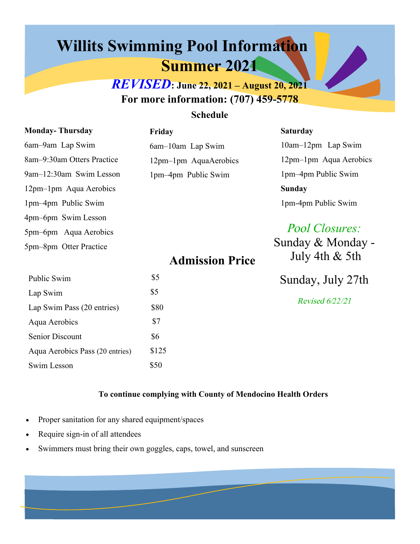# **Willits Swimming Pool Information Summer 2021**

**Friday** 

*REVISED***: June 22, 2021 – August 20, 2021 For more information: (707) 459-5778** 

### **Schedule**

| <b>Monday-Thursday</b>     |  |  |  |  |
|----------------------------|--|--|--|--|
| 6am-9am Lap Swim           |  |  |  |  |
| 8am-9:30am Otters Practice |  |  |  |  |
| 9am-12:30am Swim Lesson    |  |  |  |  |
| 12pm-1pm Aqua Aerobics     |  |  |  |  |
| 1pm-4pm Public Swim        |  |  |  |  |
| 4pm–6pm Swim Lesson        |  |  |  |  |
| 5pm-6pm Aqua Aerobics      |  |  |  |  |
| 5pm-8pm Otter Practice     |  |  |  |  |

6am–10am Lap Swim 12pm–1pm AquaAerobics 1pm–4pm Public Swim

#### **Saturday**

10am–12pm Lap Swim 12pm–1pm Aqua Aerobics 1pm–4pm Public Swim **Sunday**  1pm-4pm Public Swim

## Pool *Closures:*

Sunday & Monday - July 4th & 5th

## **Admission Price**

| Public Swim                     | \$5   |
|---------------------------------|-------|
| Lap Swim                        | \$5   |
| Lap Swim Pass (20 entries)      | \$80  |
| Aqua Aerobics                   | \$7   |
| <b>Senior Discount</b>          | \$6   |
| Aqua Aerobics Pass (20 entries) | \$125 |
| Swim Lesson                     | 850   |

Sunday, July 27th

Revised 6/*22*/21

#### **To continue complying with County of Mendocino Health Orders**

- Proper sanitation for any shared equipment/spaces
- Require sign-in of all attendees
- Swimmers must bring their own goggles, caps, towel, and sunscreen